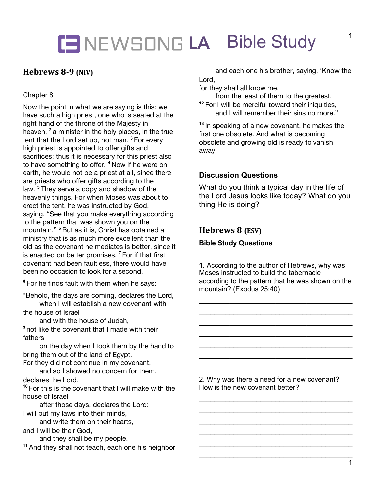## LE NEWSONG LA Bible Study

### **Hebrews 8-9 (NIV)**

### Chapter 8

Now the point in what we are saying is this: we have such a high priest, one who is seated at the right hand of the throne of the Majesty in heaven, **<sup>2</sup>** a minister in the holy places, in the true tent that the Lord set up, not man. **<sup>3</sup>** For every high priest is appointed to offer gifts and sacrifices; thus it is necessary for this priest also to have something to offer. **<sup>4</sup>** Now if he were on earth, he would not be a priest at all, since there are priests who offer gifts according to the law. **<sup>5</sup>** They serve a copy and shadow of the heavenly things. For when Moses was about to erect the tent, he was instructed by God, saying, "See that you make everything according to the pattern that was shown you on the mountain." **<sup>6</sup>** But as it is, Christ has obtained a ministry that is as much more excellent than the old as the covenant he mediates is better, since it is enacted on better promises. **<sup>7</sup>** For if that first covenant had been faultless, there would have been no occasion to look for a second.

**<sup>8</sup>** For he finds fault with them when he says:

"Behold, the days are coming, declares the Lord, when I will establish a new covenant with

the house of Israel

and with the house of Judah,

**<sup>9</sup>** not like the covenant that I made with their fathers

 on the day when I took them by the hand to bring them out of the land of Egypt.

For they did not continue in my covenant, and so I showed no concern for them,

declares the Lord.

**<sup>10</sup>** For this is the covenant that I will make with the house of Israel

 after those days, declares the Lord: I will put my laws into their minds,

and write them on their hearts,

and I will be their God,

and they shall be my people.

**<sup>11</sup>** And they shall not teach, each one his neighbor

 and each one his brother, saying, 'Know the Lord,'

for they shall all know me,

from the least of them to the greatest.

**<sup>12</sup>** For I will be merciful toward their iniquities, and I will remember their sins no more."

**<sup>13</sup>** In speaking of a new covenant, he makes the first one obsolete. And what is becoming obsolete and growing old is ready to vanish away.

### **Discussion Questions**

What do you think a typical day in the life of the Lord Jesus looks like today? What do you thing He is doing?

### **Hebrews 8 (ESV)**

#### **Bible Study Questions**

**1.** According to the author of Hebrews, why was Moses instructed to build the tabernacle according to the pattern that he was shown on the mountain? (Exodus 25:40)

\_\_\_\_\_\_\_\_\_\_\_\_\_\_\_\_\_\_\_\_\_\_\_\_\_\_\_\_\_\_\_\_\_\_\_\_\_\_\_\_ \_\_\_\_\_\_\_\_\_\_\_\_\_\_\_\_\_\_\_\_\_\_\_\_\_\_\_\_\_\_\_\_\_\_\_\_\_\_\_\_ \_\_\_\_\_\_\_\_\_\_\_\_\_\_\_\_\_\_\_\_\_\_\_\_\_\_\_\_\_\_\_\_\_\_\_\_\_\_\_\_ \_\_\_\_\_\_\_\_\_\_\_\_\_\_\_\_\_\_\_\_\_\_\_\_\_\_\_\_\_\_\_\_\_\_\_\_\_\_\_\_ \_\_\_\_\_\_\_\_\_\_\_\_\_\_\_\_\_\_\_\_\_\_\_\_\_\_\_\_\_\_\_\_\_\_\_\_\_\_\_\_ \_\_\_\_\_\_\_\_\_\_\_\_\_\_\_\_\_\_\_\_\_\_\_\_\_\_\_\_\_\_\_\_\_\_\_\_\_\_\_\_

2. Why was there a need for a new covenant? How is the new covenant better?

\_\_\_\_\_\_\_\_\_\_\_\_\_\_\_\_\_\_\_\_\_\_\_\_\_\_\_\_\_\_\_\_\_\_\_\_\_\_\_\_

\_\_\_\_\_\_\_\_\_\_\_\_\_\_\_\_\_\_\_\_\_\_\_\_\_\_\_\_\_\_\_\_\_\_\_\_\_\_\_\_

\_\_\_\_\_\_\_\_\_\_\_\_\_\_\_\_\_\_\_\_\_\_\_\_\_\_\_\_\_\_\_\_\_\_\_\_\_\_\_\_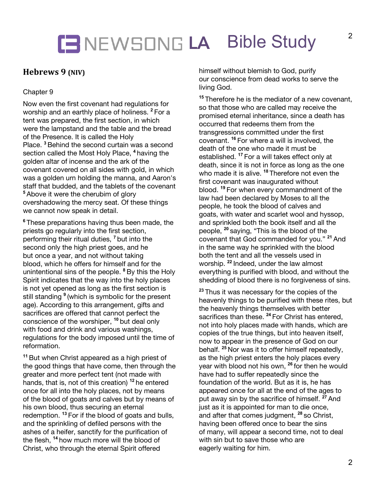## **LA** Bible Study

## **Hebrews** 9 (NIV)

#### Chapter 9

Now even the first covenant had regulations for worship and an earthly place of holiness. **<sup>2</sup>** For a tent was prepared, the first section, in which were the lampstand and the table and the bread of the Presence. It is called the Holy Place. **<sup>3</sup>** Behind the second curtain was a second section called the Most Holy Place, **<sup>4</sup>** having the golden altar of incense and the ark of the covenant covered on all sides with gold, in which was a golden urn holding the manna, and Aaron's staff that budded, and the tablets of the covenant **<sup>5</sup>** Above it were the cherubim of glory overshadowing the mercy seat. Of these things we cannot now speak in detail.

**<sup>6</sup>** These preparations having thus been made, the priests go regularly into the first section, performing their ritual duties, **<sup>7</sup>** but into the second only the high priest goes, and he but once a year, and not without taking blood, which he offers for himself and for the unintentional sins of the people. **<sup>8</sup>** By this the Holy Spirit indicates that the way into the holy places is not yet opened as long as the first section is still standing **<sup>9</sup>** (which is symbolic for the present age). According to this arrangement, gifts and sacrifices are offered that cannot perfect the conscience of the worshiper, **<sup>10</sup>** but deal only with food and drink and various washings, regulations for the body imposed until the time of reformation.

**<sup>11</sup>** But when Christ appeared as a high priest of the good things that have come, then through the greater and more perfect tent (not made with hands, that is, not of this creation) **<sup>12</sup>** he entered once for all into the holy places, not by means of the blood of goats and calves but by means of his own blood, thus securing an eternal redemption. **<sup>13</sup>** For if the blood of goats and bulls, and the sprinkling of defiled persons with the ashes of a heifer, sanctify for the purification of the flesh, **<sup>14</sup>** how much more will the blood of Christ, who through the eternal Spirit offered

himself without blemish to God, purify our conscience from dead works to serve the living God.

**<sup>15</sup>** Therefore he is the mediator of a new covenant, so that those who are called may receive the promised eternal inheritance, since a death has occurred that redeems them from the transgressions committed under the first covenant. **<sup>16</sup>** For where a will is involved, the death of the one who made it must be established. **<sup>17</sup>** For a will takes effect only at death, since it is not in force as long as the one who made it is alive. **<sup>18</sup>** Therefore not even the first covenant was inaugurated without blood. **<sup>19</sup>** For when every commandment of the law had been declared by Moses to all the people, he took the blood of calves and goats, with water and scarlet wool and hyssop, and sprinkled both the book itself and all the people, **<sup>20</sup>** saying, "This is the blood of the covenant that God commanded for you." **<sup>21</sup>** And in the same way he sprinkled with the blood both the tent and all the vessels used in worship. **<sup>22</sup>** Indeed, under the law almost everything is purified with blood, and without the shedding of blood there is no forgiveness of sins.

**<sup>23</sup>** Thus it was necessary for the copies of the heavenly things to be purified with these rites, but the heavenly things themselves with better sacrifices than these. **<sup>24</sup>** For Christ has entered, not into holy places made with hands, which are copies of the true things, but into heaven itself, now to appear in the presence of God on our behalf. **<sup>25</sup>** Nor was it to offer himself repeatedly, as the high priest enters the holy places every year with blood not his own, **<sup>26</sup>** for then he would have had to suffer repeatedly since the foundation of the world. But as it is, he has appeared once for all at the end of the ages to put away sin by the sacrifice of himself. **<sup>27</sup>** And just as it is appointed for man to die once, and after that comes judgment, **<sup>28</sup>** so Christ, having been offered once to bear the sins of many, will appear a second time, not to deal with sin but to save those who are eagerly waiting for him.